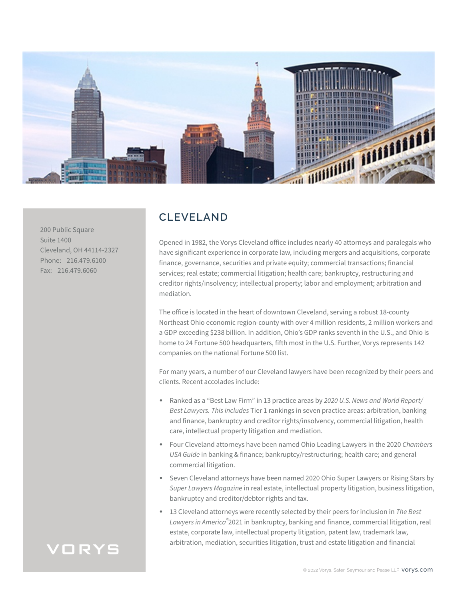

200 Public Square Suite 1400 Cleveland, OH 44114-2327 Phone: 216.479.6100 Fax: 216.479.6060

### **CLEVELAND**

Opened in 1982, the Vorys Cleveland office includes nearly 40 attorneys and paralegals who have significant experience in corporate law, including mergers and acquisitions, corporate finance, governance, securities and private equity; commercial transactions; financial services; real estate; commercial litigation; health care; bankruptcy, restructuring and creditor rights/insolvency; intellectual property; labor and employment; arbitration and mediation.

The office is located in the heart of downtown Cleveland, serving a robust 18-county Northeast Ohio economic region-county with over 4 million residents, 2 million workers and a GDP exceeding \$238 billion. In addition, Ohio's GDP ranks seventh in the U.S., and Ohio is home to 24 Fortune 500 headquarters, fifth most in the U.S. Further, Vorys represents 142 companies on the national Fortune 500 list.

For many years, a number of our Cleveland lawyers have been recognized by their peers and clients. Recent accolades include:

- Ranked as a "Best Law Firm" in 13 practice areas by *2020 U.S. News and World Report/ Best Lawyers. This includes* Tier 1 rankings in seven practice areas: arbitration, banking and finance, bankruptcy and creditor rights/insolvency, commercial litigation, health care, intellectual property litigation and mediation.
- Four Cleveland attorneys have been named Ohio Leading Lawyers in the 2020 *Chambers USA Guide* in banking & finance; bankruptcy/restructuring; health care; and general commercial litigation.
- Seven Cleveland attorneys have been named 2020 Ohio Super Lawyers or Rising Stars by *Super Lawyers Magazine* in real estate, intellectual property litigation, business litigation, bankruptcy and creditor/debtor rights and tax.
- 13 Cleveland attorneys were recently selected by their peers for inclusion in *The Best Lawyers in America®*2021 in bankruptcy, banking and finance, commercial litigation, real estate, corporate law, intellectual property litigation, patent law, trademark law, arbitration, mediation, securities litigation, trust and estate litigation and financial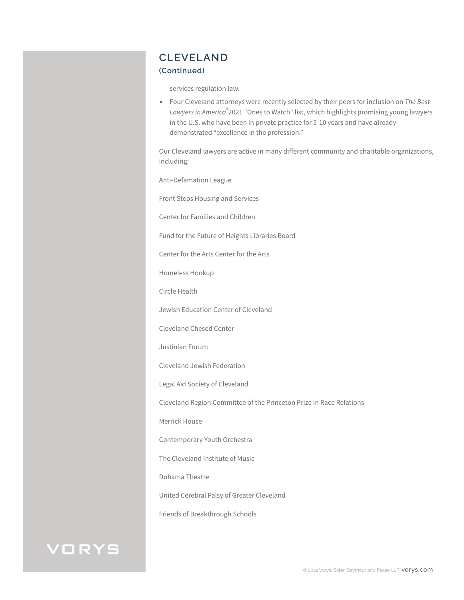## **CLEVELAND**

#### **(Continued)**

services regulation law.

● Four Cleveland attorneys were recently selected by their peers for inclusion on *The Best Lawyers in America®*2021 "Ones to Watch" list, which highlights promising young lawyers in the U.S. who have been in private practice for 5-10 years and have already demonstrated "excellence in the profession."

Our Cleveland lawyers are active in many different community and charitable organizations, including:

Anti-Defamation League

Front Steps Housing and Services

Center for Families and Children

Fund for the Future of Heights Libraries Board

Center for the Arts Center for the Arts

Homeless Hookup

Circle Health

Jewish Education Center of Cleveland

Cleveland Chesed Center

Justinian Forum

Cleveland Jewish Federation

Legal Aid Society of Cleveland

Cleveland Region Committee of the Princeton Prize in Race Relations

Merrick House

Contemporary Youth Orchestra

The Cleveland Institute of Music

Dobama Theatre

United Cerebral Palsy of Greater Cleveland

Friends of Breakthrough Schools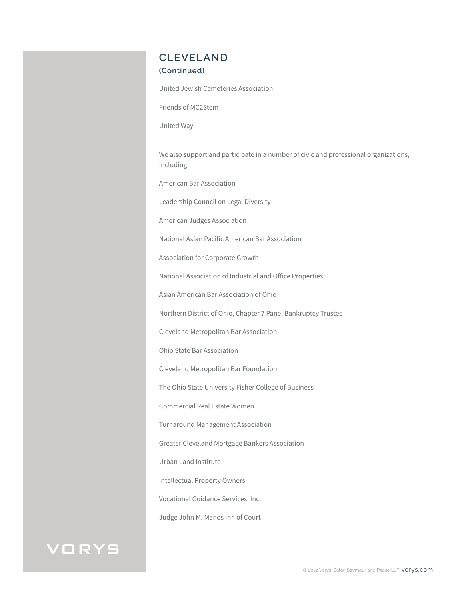## **CLEVELAND**

#### **(Continued)**

United Jewish Cemeteries Association

Friends of MC2Stem

United Way

We also support and participate in a number of civic and professional organizations, including:

American Bar Association

Leadership Council on Legal Diversity

American Judges Association

National Asian Pacific American Bar Association

Association for Corporate Growth

National Association of Industrial and Office Properties

Asian American Bar Association of Ohio

Northern District of Ohio, Chapter 7 Panel Bankruptcy Trustee

Cleveland Metropolitan Bar Association

Ohio State Bar Association

Cleveland Metropolitan Bar Foundation

The Ohio State University Fisher College of Business

Commercial Real Estate Women

Turnaround Management Association

Greater Cleveland Mortgage Bankers Association

Urban Land Institute

Intellectual Property Owners

Vocational Guidance Services, Inc.

Judge John M. Manos Inn of Court